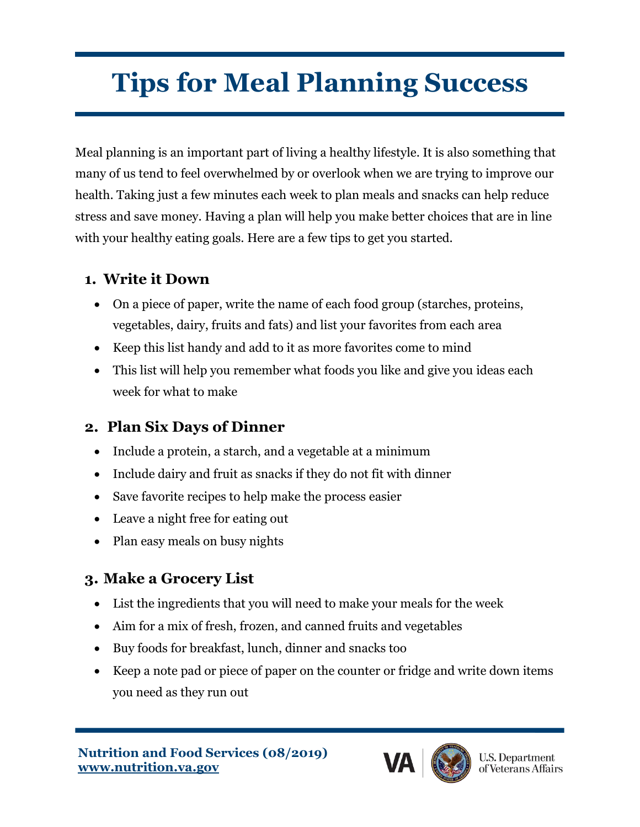# **Tips for Meal Planning Success**

Meal planning is an important part of living a healthy lifestyle. It is also something that many of us tend to feel overwhelmed by or overlook when we are trying to improve our health. Taking just a few minutes each week to plan meals and snacks can help reduce stress and save money. Having a plan will help you make better choices that are in line with your healthy eating goals. Here are a few tips to get you started.

#### **1. Write it Down**

- On a piece of paper, write the name of each food group (starches, proteins, vegetables, dairy, fruits and fats) and list your favorites from each area
- Keep this list handy and add to it as more favorites come to mind
- This list will help you remember what foods you like and give you ideas each week for what to make

### **2. Plan Six Days of Dinner**

- Include a protein, a starch, and a vegetable at a minimum
- Include dairy and fruit as snacks if they do not fit with dinner
- Save favorite recipes to help make the process easier
- Leave a night free for eating out
- Plan easy meals on busy nights

### **3. Make a Grocery List**

- List the ingredients that you will need to make your meals for the week
- Aim for a mix of fresh, frozen, and canned fruits and vegetables
- Buy foods for breakfast, lunch, dinner and snacks too
- Keep a note pad or piece of paper on the counter or fridge and write down items you need as they run out